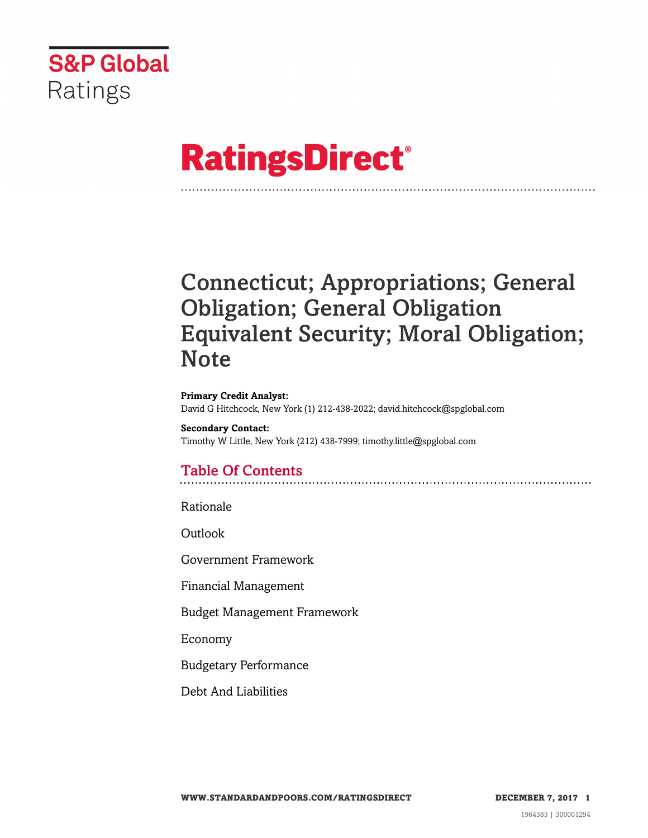

# **RatingsDirect®**

# Connecticut; Appropriations; General Obligation; General Obligation Equivalent Security; Moral Obligation; **Note**

**Primary Credit Analyst:** David G Hitchcock, New York (1) 212-438-2022; david.hitchcock@spglobal.com

**Secondary Contact:** Timothy W Little, New York (212) 438-7999; timothy.little@spglobal.com

# Table Of Contents

[Rationale](#page-1-0)

[Outlook](#page-4-0)

[Government Framework](#page-4-1)

[Financial Management](#page-5-0)

[Budget Management Framework](#page-6-0)

[Economy](#page-6-1)

[Budgetary Performance](#page-7-0)

[Debt And Liabilities](#page-9-0)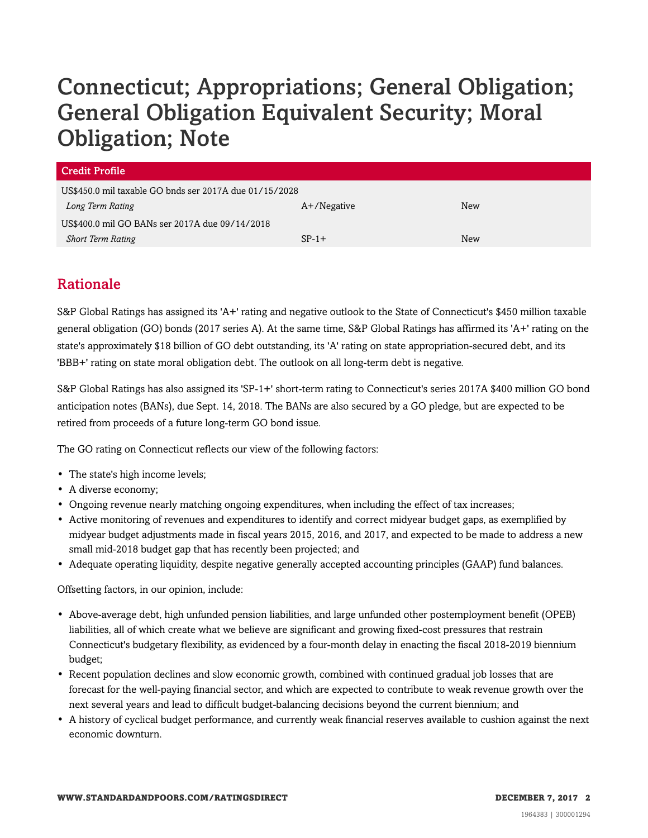| <b>Credit Profile</b>                                  |                |     |
|--------------------------------------------------------|----------------|-----|
| US\$450.0 mil taxable GO bnds ser 2017A due 01/15/2028 |                |     |
| Long Term Rating                                       | $A+$ /Negative | New |
| US\$400.0 mil GO BANs ser 2017A due 09/14/2018         |                |     |
| <b>Short Term Rating</b>                               | $SP-1+$        | New |

# <span id="page-1-0"></span>Rationale

S&P Global Ratings has assigned its 'A+' rating and negative outlook to the State of Connecticut's \$450 million taxable general obligation (GO) bonds (2017 series A). At the same time, S&P Global Ratings has affirmed its 'A+' rating on the state's approximately \$18 billion of GO debt outstanding, its 'A' rating on state appropriation-secured debt, and its 'BBB+' rating on state moral obligation debt. The outlook on all long-term debt is negative.

S&P Global Ratings has also assigned its 'SP-1+' short-term rating to Connecticut's series 2017A \$400 million GO bond anticipation notes (BANs), due Sept. 14, 2018. The BANs are also secured by a GO pledge, but are expected to be retired from proceeds of a future long-term GO bond issue.

The GO rating on Connecticut reflects our view of the following factors:

- The state's high income levels;
- A diverse economy;
- Ongoing revenue nearly matching ongoing expenditures, when including the effect of tax increases;
- Active monitoring of revenues and expenditures to identify and correct midyear budget gaps, as exemplified by midyear budget adjustments made in fiscal years 2015, 2016, and 2017, and expected to be made to address a new small mid-2018 budget gap that has recently been projected; and
- Adequate operating liquidity, despite negative generally accepted accounting principles (GAAP) fund balances.

Offsetting factors, in our opinion, include:

- Above-average debt, high unfunded pension liabilities, and large unfunded other postemployment benefit (OPEB) liabilities, all of which create what we believe are significant and growing fixed-cost pressures that restrain Connecticut's budgetary flexibility, as evidenced by a four-month delay in enacting the fiscal 2018-2019 biennium budget;
- Recent population declines and slow economic growth, combined with continued gradual job losses that are forecast for the well-paying financial sector, and which are expected to contribute to weak revenue growth over the next several years and lead to difficult budget-balancing decisions beyond the current biennium; and
- A history of cyclical budget performance, and currently weak financial reserves available to cushion against the next economic downturn.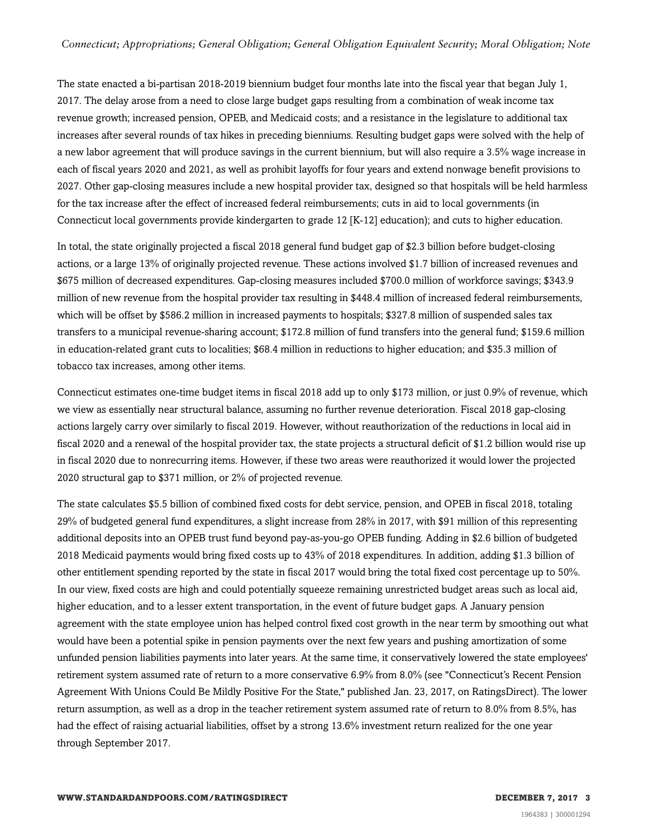The state enacted a bi-partisan 2018-2019 biennium budget four months late into the fiscal year that began July 1, 2017. The delay arose from a need to close large budget gaps resulting from a combination of weak income tax revenue growth; increased pension, OPEB, and Medicaid costs; and a resistance in the legislature to additional tax increases after several rounds of tax hikes in preceding bienniums. Resulting budget gaps were solved with the help of a new labor agreement that will produce savings in the current biennium, but will also require a 3.5% wage increase in each of fiscal years 2020 and 2021, as well as prohibit layoffs for four years and extend nonwage benefit provisions to 2027. Other gap-closing measures include a new hospital provider tax, designed so that hospitals will be held harmless for the tax increase after the effect of increased federal reimbursements; cuts in aid to local governments (in Connecticut local governments provide kindergarten to grade 12 [K-12] education); and cuts to higher education.

In total, the state originally projected a fiscal 2018 general fund budget gap of \$2.3 billion before budget-closing actions, or a large 13% of originally projected revenue. These actions involved \$1.7 billion of increased revenues and \$675 million of decreased expenditures. Gap-closing measures included \$700.0 million of workforce savings; \$343.9 million of new revenue from the hospital provider tax resulting in \$448.4 million of increased federal reimbursements, which will be offset by \$586.2 million in increased payments to hospitals; \$327.8 million of suspended sales tax transfers to a municipal revenue-sharing account; \$172.8 million of fund transfers into the general fund; \$159.6 million in education-related grant cuts to localities; \$68.4 million in reductions to higher education; and \$35.3 million of tobacco tax increases, among other items.

Connecticut estimates one-time budget items in fiscal 2018 add up to only \$173 million, or just 0.9% of revenue, which we view as essentially near structural balance, assuming no further revenue deterioration. Fiscal 2018 gap-closing actions largely carry over similarly to fiscal 2019. However, without reauthorization of the reductions in local aid in fiscal 2020 and a renewal of the hospital provider tax, the state projects a structural deficit of \$1.2 billion would rise up in fiscal 2020 due to nonrecurring items. However, if these two areas were reauthorized it would lower the projected 2020 structural gap to \$371 million, or 2% of projected revenue.

The state calculates \$5.5 billion of combined fixed costs for debt service, pension, and OPEB in fiscal 2018, totaling 29% of budgeted general fund expenditures, a slight increase from 28% in 2017, with \$91 million of this representing additional deposits into an OPEB trust fund beyond pay-as-you-go OPEB funding. Adding in \$2.6 billion of budgeted 2018 Medicaid payments would bring fixed costs up to 43% of 2018 expenditures. In addition, adding \$1.3 billion of other entitlement spending reported by the state in fiscal 2017 would bring the total fixed cost percentage up to 50%. In our view, fixed costs are high and could potentially squeeze remaining unrestricted budget areas such as local aid, higher education, and to a lesser extent transportation, in the event of future budget gaps. A January pension agreement with the state employee union has helped control fixed cost growth in the near term by smoothing out what would have been a potential spike in pension payments over the next few years and pushing amortization of some unfunded pension liabilities payments into later years. At the same time, it conservatively lowered the state employees' retirement system assumed rate of return to a more conservative 6.9% from 8.0% (see "Connecticut's Recent Pension Agreement With Unions Could Be Mildly Positive For the State," published Jan. 23, 2017, on RatingsDirect). The lower return assumption, as well as a drop in the teacher retirement system assumed rate of return to 8.0% from 8.5%, has had the effect of raising actuarial liabilities, offset by a strong 13.6% investment return realized for the one year through September 2017.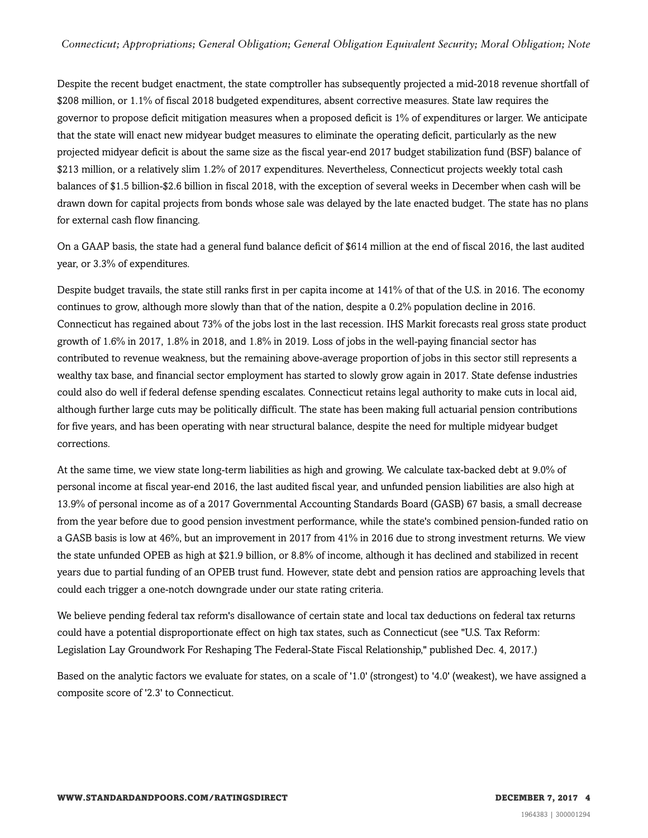Despite the recent budget enactment, the state comptroller has subsequently projected a mid-2018 revenue shortfall of \$208 million, or 1.1% of fiscal 2018 budgeted expenditures, absent corrective measures. State law requires the governor to propose deficit mitigation measures when a proposed deficit is 1% of expenditures or larger. We anticipate that the state will enact new midyear budget measures to eliminate the operating deficit, particularly as the new projected midyear deficit is about the same size as the fiscal year-end 2017 budget stabilization fund (BSF) balance of \$213 million, or a relatively slim 1.2% of 2017 expenditures. Nevertheless, Connecticut projects weekly total cash balances of \$1.5 billion-\$2.6 billion in fiscal 2018, with the exception of several weeks in December when cash will be drawn down for capital projects from bonds whose sale was delayed by the late enacted budget. The state has no plans for external cash flow financing.

On a GAAP basis, the state had a general fund balance deficit of \$614 million at the end of fiscal 2016, the last audited year, or 3.3% of expenditures.

Despite budget travails, the state still ranks first in per capita income at 141% of that of the U.S. in 2016. The economy continues to grow, although more slowly than that of the nation, despite a 0.2% population decline in 2016. Connecticut has regained about 73% of the jobs lost in the last recession. IHS Markit forecasts real gross state product growth of 1.6% in 2017, 1.8% in 2018, and 1.8% in 2019. Loss of jobs in the well-paying financial sector has contributed to revenue weakness, but the remaining above-average proportion of jobs in this sector still represents a wealthy tax base, and financial sector employment has started to slowly grow again in 2017. State defense industries could also do well if federal defense spending escalates. Connecticut retains legal authority to make cuts in local aid, although further large cuts may be politically difficult. The state has been making full actuarial pension contributions for five years, and has been operating with near structural balance, despite the need for multiple midyear budget corrections.

At the same time, we view state long-term liabilities as high and growing. We calculate tax-backed debt at 9.0% of personal income at fiscal year-end 2016, the last audited fiscal year, and unfunded pension liabilities are also high at 13.9% of personal income as of a 2017 Governmental Accounting Standards Board (GASB) 67 basis, a small decrease from the year before due to good pension investment performance, while the state's combined pension-funded ratio on a GASB basis is low at 46%, but an improvement in 2017 from 41% in 2016 due to strong investment returns. We view the state unfunded OPEB as high at \$21.9 billion, or 8.8% of income, although it has declined and stabilized in recent years due to partial funding of an OPEB trust fund. However, state debt and pension ratios are approaching levels that could each trigger a one-notch downgrade under our state rating criteria.

We believe pending federal tax reform's disallowance of certain state and local tax deductions on federal tax returns could have a potential disproportionate effect on high tax states, such as Connecticut (see "U.S. Tax Reform: Legislation Lay Groundwork For Reshaping The Federal-State Fiscal Relationship," published Dec. 4, 2017.)

Based on the analytic factors we evaluate for states, on a scale of '1.0' (strongest) to '4.0' (weakest), we have assigned a composite score of '2.3' to Connecticut.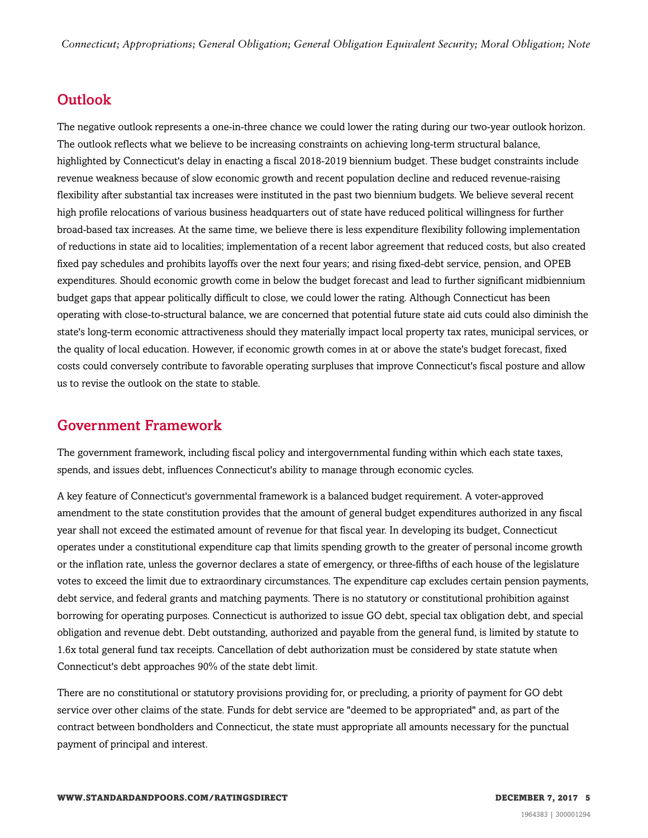## <span id="page-4-0"></span>**Outlook**

The negative outlook represents a one-in-three chance we could lower the rating during our two-year outlook horizon. The outlook reflects what we believe to be increasing constraints on achieving long-term structural balance, highlighted by Connecticut's delay in enacting a fiscal 2018-2019 biennium budget. These budget constraints include revenue weakness because of slow economic growth and recent population decline and reduced revenue-raising flexibility after substantial tax increases were instituted in the past two biennium budgets. We believe several recent high profile relocations of various business headquarters out of state have reduced political willingness for further broad-based tax increases. At the same time, we believe there is less expenditure flexibility following implementation of reductions in state aid to localities; implementation of a recent labor agreement that reduced costs, but also created fixed pay schedules and prohibits layoffs over the next four years; and rising fixed-debt service, pension, and OPEB expenditures. Should economic growth come in below the budget forecast and lead to further significant midbiennium budget gaps that appear politically difficult to close, we could lower the rating. Although Connecticut has been operating with close-to-structural balance, we are concerned that potential future state aid cuts could also diminish the state's long-term economic attractiveness should they materially impact local property tax rates, municipal services, or the quality of local education. However, if economic growth comes in at or above the state's budget forecast, fixed costs could conversely contribute to favorable operating surpluses that improve Connecticut's fiscal posture and allow us to revise the outlook on the state to stable.

#### <span id="page-4-1"></span>Government Framework

The government framework, including fiscal policy and intergovernmental funding within which each state taxes, spends, and issues debt, influences Connecticut's ability to manage through economic cycles.

A key feature of Connecticut's governmental framework is a balanced budget requirement. A voter-approved amendment to the state constitution provides that the amount of general budget expenditures authorized in any fiscal year shall not exceed the estimated amount of revenue for that fiscal year. In developing its budget, Connecticut operates under a constitutional expenditure cap that limits spending growth to the greater of personal income growth or the inflation rate, unless the governor declares a state of emergency, or three-fifths of each house of the legislature votes to exceed the limit due to extraordinary circumstances. The expenditure cap excludes certain pension payments, debt service, and federal grants and matching payments. There is no statutory or constitutional prohibition against borrowing for operating purposes. Connecticut is authorized to issue GO debt, special tax obligation debt, and special obligation and revenue debt. Debt outstanding, authorized and payable from the general fund, is limited by statute to 1.6x total general fund tax receipts. Cancellation of debt authorization must be considered by state statute when Connecticut's debt approaches 90% of the state debt limit.

There are no constitutional or statutory provisions providing for, or precluding, a priority of payment for GO debt service over other claims of the state. Funds for debt service are "deemed to be appropriated" and, as part of the contract between bondholders and Connecticut, the state must appropriate all amounts necessary for the punctual payment of principal and interest.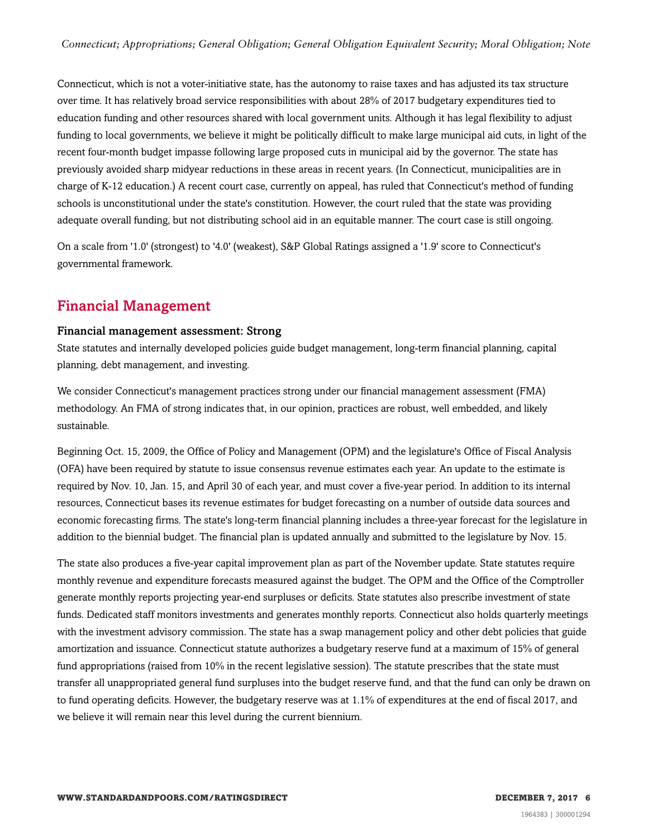Connecticut, which is not a voter-initiative state, has the autonomy to raise taxes and has adjusted its tax structure over time. It has relatively broad service responsibilities with about 28% of 2017 budgetary expenditures tied to education funding and other resources shared with local government units. Although it has legal flexibility to adjust funding to local governments, we believe it might be politically difficult to make large municipal aid cuts, in light of the recent four-month budget impasse following large proposed cuts in municipal aid by the governor. The state has previously avoided sharp midyear reductions in these areas in recent years. (In Connecticut, municipalities are in charge of K-12 education.) A recent court case, currently on appeal, has ruled that Connecticut's method of funding schools is unconstitutional under the state's constitution. However, the court ruled that the state was providing adequate overall funding, but not distributing school aid in an equitable manner. The court case is still ongoing.

On a scale from '1.0' (strongest) to '4.0' (weakest), S&P Global Ratings assigned a '1.9' score to Connecticut's governmental framework.

#### <span id="page-5-0"></span>Financial Management

#### Financial management assessment: Strong

State statutes and internally developed policies guide budget management, long-term financial planning, capital planning, debt management, and investing.

We consider Connecticut's management practices strong under our financial management assessment (FMA) methodology. An FMA of strong indicates that, in our opinion, practices are robust, well embedded, and likely sustainable.

Beginning Oct. 15, 2009, the Office of Policy and Management (OPM) and the legislature's Office of Fiscal Analysis (OFA) have been required by statute to issue consensus revenue estimates each year. An update to the estimate is required by Nov. 10, Jan. 15, and April 30 of each year, and must cover a five-year period. In addition to its internal resources, Connecticut bases its revenue estimates for budget forecasting on a number of outside data sources and economic forecasting firms. The state's long-term financial planning includes a three-year forecast for the legislature in addition to the biennial budget. The financial plan is updated annually and submitted to the legislature by Nov. 15.

The state also produces a five-year capital improvement plan as part of the November update. State statutes require monthly revenue and expenditure forecasts measured against the budget. The OPM and the Office of the Comptroller generate monthly reports projecting year-end surpluses or deficits. State statutes also prescribe investment of state funds. Dedicated staff monitors investments and generates monthly reports. Connecticut also holds quarterly meetings with the investment advisory commission. The state has a swap management policy and other debt policies that guide amortization and issuance. Connecticut statute authorizes a budgetary reserve fund at a maximum of 15% of general fund appropriations (raised from 10% in the recent legislative session). The statute prescribes that the state must transfer all unappropriated general fund surpluses into the budget reserve fund, and that the fund can only be drawn on to fund operating deficits. However, the budgetary reserve was at 1.1% of expenditures at the end of fiscal 2017, and we believe it will remain near this level during the current biennium.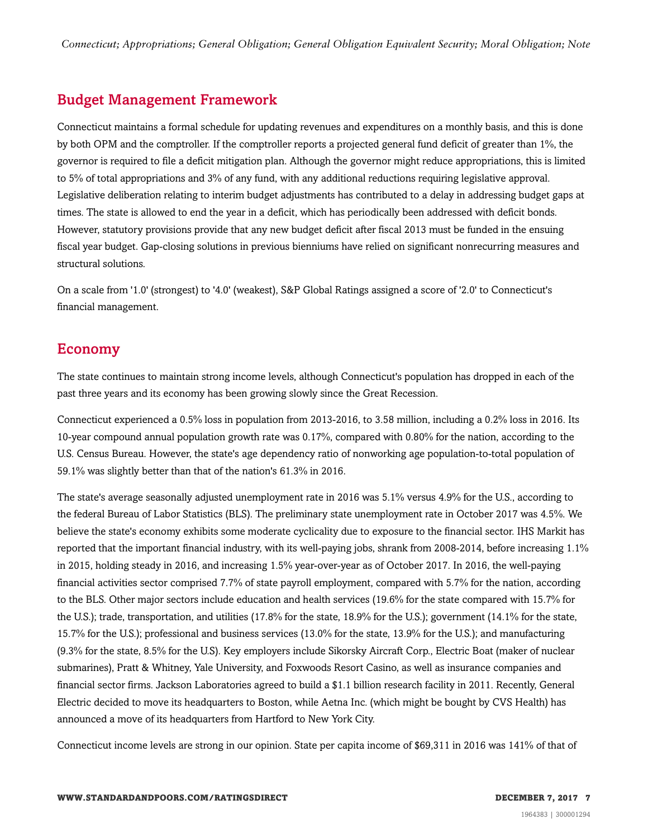# <span id="page-6-0"></span>Budget Management Framework

Connecticut maintains a formal schedule for updating revenues and expenditures on a monthly basis, and this is done by both OPM and the comptroller. If the comptroller reports a projected general fund deficit of greater than 1%, the governor is required to file a deficit mitigation plan. Although the governor might reduce appropriations, this is limited to 5% of total appropriations and 3% of any fund, with any additional reductions requiring legislative approval. Legislative deliberation relating to interim budget adjustments has contributed to a delay in addressing budget gaps at times. The state is allowed to end the year in a deficit, which has periodically been addressed with deficit bonds. However, statutory provisions provide that any new budget deficit after fiscal 2013 must be funded in the ensuing fiscal year budget. Gap-closing solutions in previous bienniums have relied on significant nonrecurring measures and structural solutions.

On a scale from '1.0' (strongest) to '4.0' (weakest), S&P Global Ratings assigned a score of '2.0' to Connecticut's financial management.

## <span id="page-6-1"></span>Economy

The state continues to maintain strong income levels, although Connecticut's population has dropped in each of the past three years and its economy has been growing slowly since the Great Recession.

Connecticut experienced a 0.5% loss in population from 2013-2016, to 3.58 million, including a 0.2% loss in 2016. Its 10-year compound annual population growth rate was 0.17%, compared with 0.80% for the nation, according to the U.S. Census Bureau. However, the state's age dependency ratio of nonworking age population-to-total population of 59.1% was slightly better than that of the nation's 61.3% in 2016.

The state's average seasonally adjusted unemployment rate in 2016 was 5.1% versus 4.9% for the U.S., according to the federal Bureau of Labor Statistics (BLS). The preliminary state unemployment rate in October 2017 was 4.5%. We believe the state's economy exhibits some moderate cyclicality due to exposure to the financial sector. IHS Markit has reported that the important financial industry, with its well-paying jobs, shrank from 2008-2014, before increasing 1.1% in 2015, holding steady in 2016, and increasing 1.5% year-over-year as of October 2017. In 2016, the well-paying financial activities sector comprised 7.7% of state payroll employment, compared with 5.7% for the nation, according to the BLS. Other major sectors include education and health services (19.6% for the state compared with 15.7% for the U.S.); trade, transportation, and utilities (17.8% for the state, 18.9% for the U.S.); government (14.1% for the state, 15.7% for the U.S.); professional and business services (13.0% for the state, 13.9% for the U.S.); and manufacturing (9.3% for the state, 8.5% for the U.S). Key employers include Sikorsky Aircraft Corp., Electric Boat (maker of nuclear submarines), Pratt & Whitney, Yale University, and Foxwoods Resort Casino, as well as insurance companies and financial sector firms. Jackson Laboratories agreed to build a \$1.1 billion research facility in 2011. Recently, General Electric decided to move its headquarters to Boston, while Aetna Inc. (which might be bought by CVS Health) has announced a move of its headquarters from Hartford to New York City.

Connecticut income levels are strong in our opinion. State per capita income of \$69,311 in 2016 was 141% of that of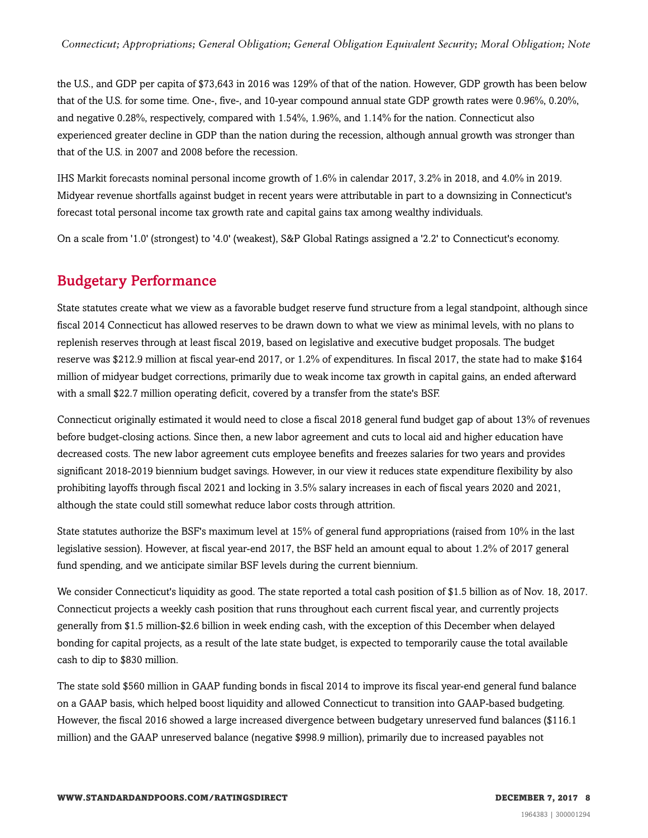the U.S., and GDP per capita of \$73,643 in 2016 was 129% of that of the nation. However, GDP growth has been below that of the U.S. for some time. One-, five-, and 10-year compound annual state GDP growth rates were 0.96%, 0.20%, and negative 0.28%, respectively, compared with 1.54%, 1.96%, and 1.14% for the nation. Connecticut also experienced greater decline in GDP than the nation during the recession, although annual growth was stronger than that of the U.S. in 2007 and 2008 before the recession.

IHS Markit forecasts nominal personal income growth of 1.6% in calendar 2017, 3.2% in 2018, and 4.0% in 2019. Midyear revenue shortfalls against budget in recent years were attributable in part to a downsizing in Connecticut's forecast total personal income tax growth rate and capital gains tax among wealthy individuals.

<span id="page-7-0"></span>On a scale from '1.0' (strongest) to '4.0' (weakest), S&P Global Ratings assigned a '2.2' to Connecticut's economy.

#### Budgetary Performance

State statutes create what we view as a favorable budget reserve fund structure from a legal standpoint, although since fiscal 2014 Connecticut has allowed reserves to be drawn down to what we view as minimal levels, with no plans to replenish reserves through at least fiscal 2019, based on legislative and executive budget proposals. The budget reserve was \$212.9 million at fiscal year-end 2017, or 1.2% of expenditures. In fiscal 2017, the state had to make \$164 million of midyear budget corrections, primarily due to weak income tax growth in capital gains, an ended afterward with a small \$22.7 million operating deficit, covered by a transfer from the state's BSF.

Connecticut originally estimated it would need to close a fiscal 2018 general fund budget gap of about 13% of revenues before budget-closing actions. Since then, a new labor agreement and cuts to local aid and higher education have decreased costs. The new labor agreement cuts employee benefits and freezes salaries for two years and provides significant 2018-2019 biennium budget savings. However, in our view it reduces state expenditure flexibility by also prohibiting layoffs through fiscal 2021 and locking in 3.5% salary increases in each of fiscal years 2020 and 2021, although the state could still somewhat reduce labor costs through attrition.

State statutes authorize the BSF's maximum level at 15% of general fund appropriations (raised from 10% in the last legislative session). However, at fiscal year-end 2017, the BSF held an amount equal to about 1.2% of 2017 general fund spending, and we anticipate similar BSF levels during the current biennium.

We consider Connecticut's liquidity as good. The state reported a total cash position of \$1.5 billion as of Nov. 18, 2017. Connecticut projects a weekly cash position that runs throughout each current fiscal year, and currently projects generally from \$1.5 million-\$2.6 billion in week ending cash, with the exception of this December when delayed bonding for capital projects, as a result of the late state budget, is expected to temporarily cause the total available cash to dip to \$830 million.

The state sold \$560 million in GAAP funding bonds in fiscal 2014 to improve its fiscal year-end general fund balance on a GAAP basis, which helped boost liquidity and allowed Connecticut to transition into GAAP-based budgeting. However, the fiscal 2016 showed a large increased divergence between budgetary unreserved fund balances (\$116.1 million) and the GAAP unreserved balance (negative \$998.9 million), primarily due to increased payables not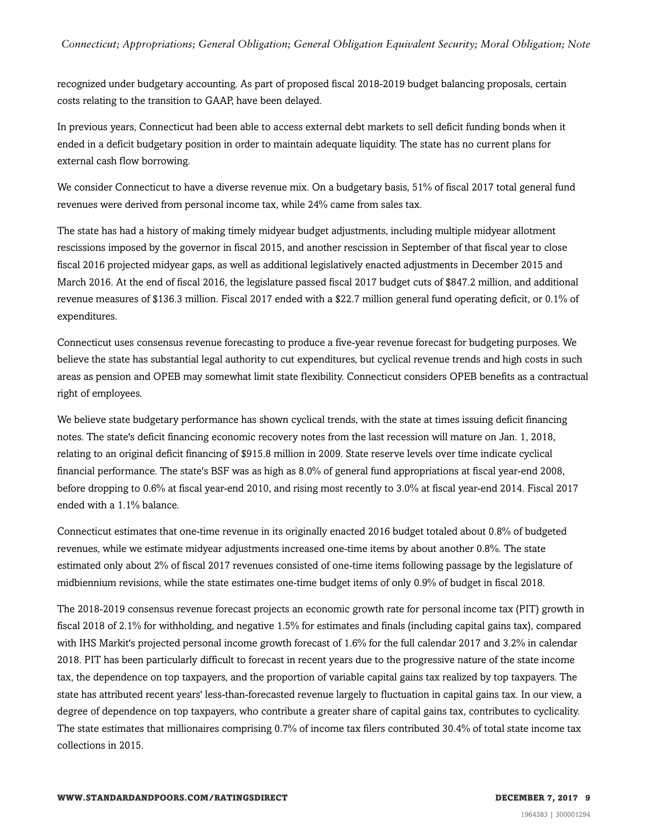recognized under budgetary accounting. As part of proposed fiscal 2018-2019 budget balancing proposals, certain costs relating to the transition to GAAP, have been delayed.

In previous years, Connecticut had been able to access external debt markets to sell deficit funding bonds when it ended in a deficit budgetary position in order to maintain adequate liquidity. The state has no current plans for external cash flow borrowing.

We consider Connecticut to have a diverse revenue mix. On a budgetary basis, 51% of fiscal 2017 total general fund revenues were derived from personal income tax, while 24% came from sales tax.

The state has had a history of making timely midyear budget adjustments, including multiple midyear allotment rescissions imposed by the governor in fiscal 2015, and another rescission in September of that fiscal year to close fiscal 2016 projected midyear gaps, as well as additional legislatively enacted adjustments in December 2015 and March 2016. At the end of fiscal 2016, the legislature passed fiscal 2017 budget cuts of \$847.2 million, and additional revenue measures of \$136.3 million. Fiscal 2017 ended with a \$22.7 million general fund operating deficit, or 0.1% of expenditures.

Connecticut uses consensus revenue forecasting to produce a five-year revenue forecast for budgeting purposes. We believe the state has substantial legal authority to cut expenditures, but cyclical revenue trends and high costs in such areas as pension and OPEB may somewhat limit state flexibility. Connecticut considers OPEB benefits as a contractual right of employees.

We believe state budgetary performance has shown cyclical trends, with the state at times issuing deficit financing notes. The state's deficit financing economic recovery notes from the last recession will mature on Jan. 1, 2018, relating to an original deficit financing of \$915.8 million in 2009. State reserve levels over time indicate cyclical financial performance. The state's BSF was as high as 8.0% of general fund appropriations at fiscal year-end 2008, before dropping to 0.6% at fiscal year-end 2010, and rising most recently to 3.0% at fiscal year-end 2014. Fiscal 2017 ended with a 1.1% balance.

Connecticut estimates that one-time revenue in its originally enacted 2016 budget totaled about 0.8% of budgeted revenues, while we estimate midyear adjustments increased one-time items by about another 0.8%. The state estimated only about 2% of fiscal 2017 revenues consisted of one-time items following passage by the legislature of midbiennium revisions, while the state estimates one-time budget items of only 0.9% of budget in fiscal 2018.

The 2018-2019 consensus revenue forecast projects an economic growth rate for personal income tax (PIT) growth in fiscal 2018 of 2.1% for withholding, and negative 1.5% for estimates and finals (including capital gains tax), compared with IHS Markit's projected personal income growth forecast of 1.6% for the full calendar 2017 and 3.2% in calendar 2018. PIT has been particularly difficult to forecast in recent years due to the progressive nature of the state income tax, the dependence on top taxpayers, and the proportion of variable capital gains tax realized by top taxpayers. The state has attributed recent years' less-than-forecasted revenue largely to fluctuation in capital gains tax. In our view, a degree of dependence on top taxpayers, who contribute a greater share of capital gains tax, contributes to cyclicality. The state estimates that millionaires comprising 0.7% of income tax filers contributed 30.4% of total state income tax collections in 2015.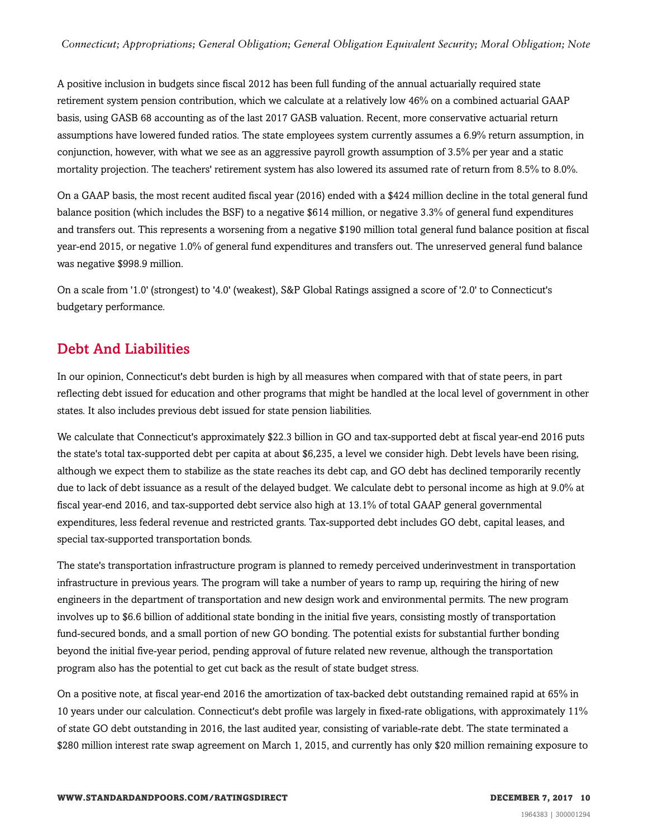A positive inclusion in budgets since fiscal 2012 has been full funding of the annual actuarially required state retirement system pension contribution, which we calculate at a relatively low 46% on a combined actuarial GAAP basis, using GASB 68 accounting as of the last 2017 GASB valuation. Recent, more conservative actuarial return assumptions have lowered funded ratios. The state employees system currently assumes a 6.9% return assumption, in conjunction, however, with what we see as an aggressive payroll growth assumption of 3.5% per year and a static mortality projection. The teachers' retirement system has also lowered its assumed rate of return from 8.5% to 8.0%.

On a GAAP basis, the most recent audited fiscal year (2016) ended with a \$424 million decline in the total general fund balance position (which includes the BSF) to a negative \$614 million, or negative 3.3% of general fund expenditures and transfers out. This represents a worsening from a negative \$190 million total general fund balance position at fiscal year-end 2015, or negative 1.0% of general fund expenditures and transfers out. The unreserved general fund balance was negative \$998.9 million.

On a scale from '1.0' (strongest) to '4.0' (weakest), S&P Global Ratings assigned a score of '2.0' to Connecticut's budgetary performance.

## <span id="page-9-0"></span>Debt And Liabilities

In our opinion, Connecticut's debt burden is high by all measures when compared with that of state peers, in part reflecting debt issued for education and other programs that might be handled at the local level of government in other states. It also includes previous debt issued for state pension liabilities.

We calculate that Connecticut's approximately \$22.3 billion in GO and tax-supported debt at fiscal year-end 2016 puts the state's total tax-supported debt per capita at about \$6,235, a level we consider high. Debt levels have been rising, although we expect them to stabilize as the state reaches its debt cap, and GO debt has declined temporarily recently due to lack of debt issuance as a result of the delayed budget. We calculate debt to personal income as high at 9.0% at fiscal year-end 2016, and tax-supported debt service also high at 13.1% of total GAAP general governmental expenditures, less federal revenue and restricted grants. Tax-supported debt includes GO debt, capital leases, and special tax-supported transportation bonds.

The state's transportation infrastructure program is planned to remedy perceived underinvestment in transportation infrastructure in previous years. The program will take a number of years to ramp up, requiring the hiring of new engineers in the department of transportation and new design work and environmental permits. The new program involves up to \$6.6 billion of additional state bonding in the initial five years, consisting mostly of transportation fund-secured bonds, and a small portion of new GO bonding. The potential exists for substantial further bonding beyond the initial five-year period, pending approval of future related new revenue, although the transportation program also has the potential to get cut back as the result of state budget stress.

On a positive note, at fiscal year-end 2016 the amortization of tax-backed debt outstanding remained rapid at 65% in 10 years under our calculation. Connecticut's debt profile was largely in fixed-rate obligations, with approximately 11% of state GO debt outstanding in 2016, the last audited year, consisting of variable-rate debt. The state terminated a \$280 million interest rate swap agreement on March 1, 2015, and currently has only \$20 million remaining exposure to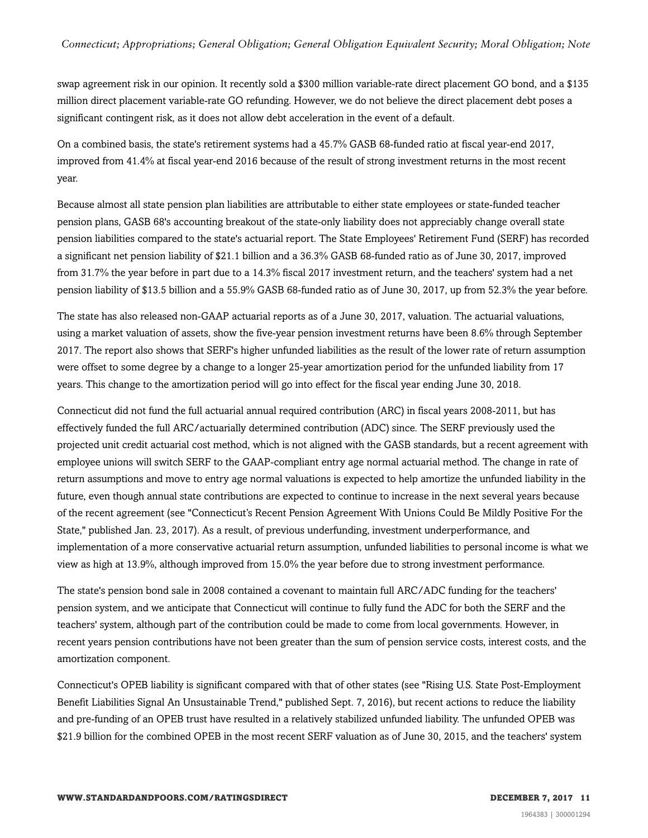swap agreement risk in our opinion. It recently sold a \$300 million variable-rate direct placement GO bond, and a \$135 million direct placement variable-rate GO refunding. However, we do not believe the direct placement debt poses a significant contingent risk, as it does not allow debt acceleration in the event of a default.

On a combined basis, the state's retirement systems had a 45.7% GASB 68-funded ratio at fiscal year-end 2017, improved from 41.4% at fiscal year-end 2016 because of the result of strong investment returns in the most recent year.

Because almost all state pension plan liabilities are attributable to either state employees or state-funded teacher pension plans, GASB 68's accounting breakout of the state-only liability does not appreciably change overall state pension liabilities compared to the state's actuarial report. The State Employees' Retirement Fund (SERF) has recorded a significant net pension liability of \$21.1 billion and a 36.3% GASB 68-funded ratio as of June 30, 2017, improved from 31.7% the year before in part due to a 14.3% fiscal 2017 investment return, and the teachers' system had a net pension liability of \$13.5 billion and a 55.9% GASB 68-funded ratio as of June 30, 2017, up from 52.3% the year before.

The state has also released non-GAAP actuarial reports as of a June 30, 2017, valuation. The actuarial valuations, using a market valuation of assets, show the five-year pension investment returns have been 8.6% through September 2017. The report also shows that SERF's higher unfunded liabilities as the result of the lower rate of return assumption were offset to some degree by a change to a longer 25-year amortization period for the unfunded liability from 17 years. This change to the amortization period will go into effect for the fiscal year ending June 30, 2018.

Connecticut did not fund the full actuarial annual required contribution (ARC) in fiscal years 2008-2011, but has effectively funded the full ARC/actuarially determined contribution (ADC) since. The SERF previously used the projected unit credit actuarial cost method, which is not aligned with the GASB standards, but a recent agreement with employee unions will switch SERF to the GAAP-compliant entry age normal actuarial method. The change in rate of return assumptions and move to entry age normal valuations is expected to help amortize the unfunded liability in the future, even though annual state contributions are expected to continue to increase in the next several years because of the recent agreement (see "Connecticut's Recent Pension Agreement With Unions Could Be Mildly Positive For the State," published Jan. 23, 2017). As a result, of previous underfunding, investment underperformance, and implementation of a more conservative actuarial return assumption, unfunded liabilities to personal income is what we view as high at 13.9%, although improved from 15.0% the year before due to strong investment performance.

The state's pension bond sale in 2008 contained a covenant to maintain full ARC/ADC funding for the teachers' pension system, and we anticipate that Connecticut will continue to fully fund the ADC for both the SERF and the teachers' system, although part of the contribution could be made to come from local governments. However, in recent years pension contributions have not been greater than the sum of pension service costs, interest costs, and the amortization component.

Connecticut's OPEB liability is significant compared with that of other states (see "Rising U.S. State Post-Employment Benefit Liabilities Signal An Unsustainable Trend," published Sept. 7, 2016), but recent actions to reduce the liability and pre-funding of an OPEB trust have resulted in a relatively stabilized unfunded liability. The unfunded OPEB was \$21.9 billion for the combined OPEB in the most recent SERF valuation as of June 30, 2015, and the teachers' system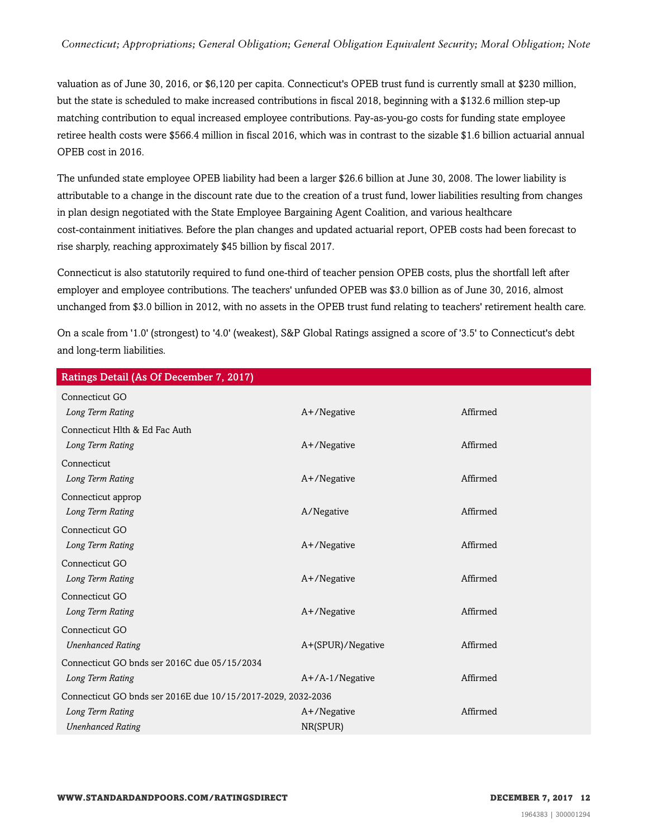valuation as of June 30, 2016, or \$6,120 per capita. Connecticut's OPEB trust fund is currently small at \$230 million, but the state is scheduled to make increased contributions in fiscal 2018, beginning with a \$132.6 million step-up matching contribution to equal increased employee contributions. Pay-as-you-go costs for funding state employee retiree health costs were \$566.4 million in fiscal 2016, which was in contrast to the sizable \$1.6 billion actuarial annual OPEB cost in 2016.

The unfunded state employee OPEB liability had been a larger \$26.6 billion at June 30, 2008. The lower liability is attributable to a change in the discount rate due to the creation of a trust fund, lower liabilities resulting from changes in plan design negotiated with the State Employee Bargaining Agent Coalition, and various healthcare cost-containment initiatives. Before the plan changes and updated actuarial report, OPEB costs had been forecast to rise sharply, reaching approximately \$45 billion by fiscal 2017.

Connecticut is also statutorily required to fund one-third of teacher pension OPEB costs, plus the shortfall left after employer and employee contributions. The teachers' unfunded OPEB was \$3.0 billion as of June 30, 2016, almost unchanged from \$3.0 billion in 2012, with no assets in the OPEB trust fund relating to teachers' retirement health care.

On a scale from '1.0' (strongest) to '4.0' (weakest), S&P Global Ratings assigned a score of '3.5' to Connecticut's debt and long-term liabilities.

| Ratings Detail (As Of December 7, 2017)                      |                    |          |
|--------------------------------------------------------------|--------------------|----------|
| Connecticut GO                                               |                    |          |
| Long Term Rating                                             | A+/Negative        | Affirmed |
| Connecticut Hlth & Ed Fac Auth                               |                    |          |
| Long Term Rating                                             | A+/Negative        | Affirmed |
| Connecticut                                                  |                    |          |
| Long Term Rating                                             | A+/Negative        | Affirmed |
| Connecticut approp                                           |                    |          |
| Long Term Rating                                             | A/Negative         | Affirmed |
| Connecticut GO                                               |                    |          |
| Long Term Rating                                             | A+/Negative        | Affirmed |
| Connecticut GO                                               |                    |          |
| Long Term Rating                                             | A+/Negative        | Affirmed |
| Connecticut GO                                               |                    |          |
| Long Term Rating                                             | A+/Negative        | Affirmed |
| Connecticut GO                                               |                    |          |
| <b>Unenhanced Rating</b>                                     | A+(SPUR)/Negative  | Affirmed |
| Connecticut GO bnds ser 2016C due 05/15/2034                 |                    |          |
| Long Term Rating                                             | $A+/A-1/N$ egative | Affirmed |
| Connecticut GO bnds ser 2016E due 10/15/2017-2029, 2032-2036 |                    |          |
| Long Term Rating                                             | $A+$ /Negative     | Affirmed |
| <b>Unenhanced Rating</b>                                     | NR(SPUR)           |          |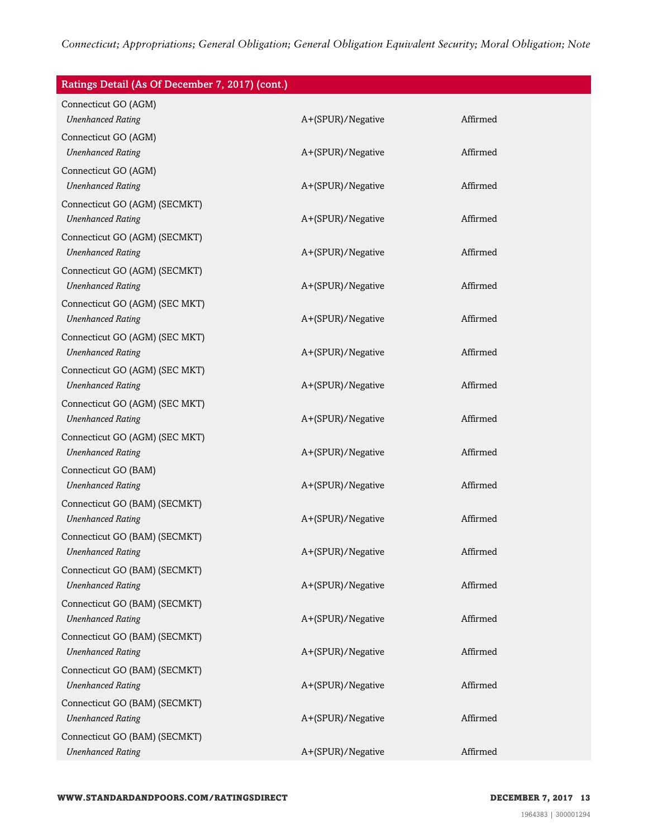| Ratings Detail (As Of December 7, 2017) (cont.)            |                   |          |
|------------------------------------------------------------|-------------------|----------|
| Connecticut GO (AGM)                                       |                   |          |
| <b>Unenhanced Rating</b>                                   | A+(SPUR)/Negative | Affirmed |
| Connecticut GO (AGM)                                       |                   |          |
| <b>Unenhanced Rating</b>                                   | A+(SPUR)/Negative | Affirmed |
| Connecticut GO (AGM)                                       |                   |          |
| <b>Unenhanced Rating</b>                                   | A+(SPUR)/Negative | Affirmed |
| Connecticut GO (AGM) (SECMKT)                              |                   |          |
| <b>Unenhanced Rating</b>                                   | A+(SPUR)/Negative | Affirmed |
| Connecticut GO (AGM) (SECMKT)                              |                   |          |
| <b>Unenhanced Rating</b>                                   | A+(SPUR)/Negative | Affirmed |
| Connecticut GO (AGM) (SECMKT)                              |                   | Affirmed |
| <b>Unenhanced Rating</b>                                   | A+(SPUR)/Negative |          |
| Connecticut GO (AGM) (SEC MKT)                             |                   | Affirmed |
| <b>Unenhanced Rating</b>                                   | A+(SPUR)/Negative |          |
| Connecticut GO (AGM) (SEC MKT)<br><b>Unenhanced Rating</b> | A+(SPUR)/Negative | Affirmed |
|                                                            |                   |          |
| Connecticut GO (AGM) (SEC MKT)<br><b>Unenhanced Rating</b> | A+(SPUR)/Negative | Affirmed |
|                                                            |                   |          |
| Connecticut GO (AGM) (SEC MKT)<br><b>Unenhanced Rating</b> | A+(SPUR)/Negative | Affirmed |
|                                                            |                   |          |
| Connecticut GO (AGM) (SEC MKT)<br><b>Unenhanced Rating</b> | A+(SPUR)/Negative | Affirmed |
| Connecticut GO (BAM)                                       |                   |          |
| <b>Unenhanced Rating</b>                                   | A+(SPUR)/Negative | Affirmed |
| Connecticut GO (BAM) (SECMKT)                              |                   |          |
| <b>Unenhanced Rating</b>                                   | A+(SPUR)/Negative | Affirmed |
| Connecticut GO (BAM) (SECMKT)                              |                   |          |
| <b>Unenhanced Rating</b>                                   | A+(SPUR)/Negative | Affirmed |
| Connecticut GO (BAM) (SECMKT)                              |                   |          |
| <b>Unenhanced Rating</b>                                   | A+(SPUR)/Negative | Affirmed |
| Connecticut GO (BAM) (SECMKT)                              |                   |          |
| <b>Unenhanced Rating</b>                                   | A+(SPUR)/Negative | Affirmed |
| Connecticut GO (BAM) (SECMKT)                              |                   |          |
| <b>Unenhanced Rating</b>                                   | A+(SPUR)/Negative | Affirmed |
| Connecticut GO (BAM) (SECMKT)                              |                   |          |
| <b>Unenhanced Rating</b>                                   | A+(SPUR)/Negative | Affirmed |
| Connecticut GO (BAM) (SECMKT)                              |                   |          |
| <b>Unenhanced Rating</b>                                   | A+(SPUR)/Negative | Affirmed |
| Connecticut GO (BAM) (SECMKT)                              |                   |          |
| <b>Unenhanced Rating</b>                                   | A+(SPUR)/Negative | Affirmed |
|                                                            |                   |          |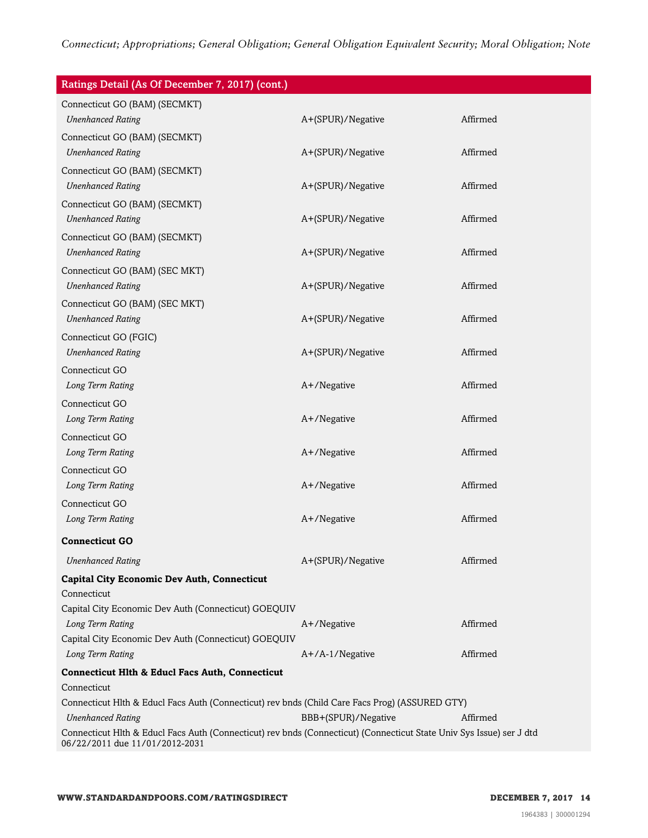| Ratings Detail (As Of December 7, 2017) (cont.)                                                                      |                     |          |
|----------------------------------------------------------------------------------------------------------------------|---------------------|----------|
| Connecticut GO (BAM) (SECMKT)                                                                                        |                     |          |
| <b>Unenhanced Rating</b>                                                                                             | A+(SPUR)/Negative   | Affirmed |
| Connecticut GO (BAM) (SECMKT)                                                                                        |                     |          |
| <b>Unenhanced Rating</b>                                                                                             | A+(SPUR)/Negative   | Affirmed |
| Connecticut GO (BAM) (SECMKT)                                                                                        |                     |          |
| <b>Unenhanced Rating</b>                                                                                             | A+(SPUR)/Negative   | Affirmed |
| Connecticut GO (BAM) (SECMKT)                                                                                        |                     |          |
| <b>Unenhanced Rating</b>                                                                                             | A+(SPUR)/Negative   | Affirmed |
| Connecticut GO (BAM) (SECMKT)                                                                                        |                     |          |
| <b>Unenhanced Rating</b>                                                                                             | A+(SPUR)/Negative   | Affirmed |
| Connecticut GO (BAM) (SEC MKT)                                                                                       |                     |          |
| <b>Unenhanced Rating</b>                                                                                             | A+(SPUR)/Negative   | Affirmed |
| Connecticut GO (BAM) (SEC MKT)                                                                                       |                     |          |
| <b>Unenhanced Rating</b>                                                                                             | A+(SPUR)/Negative   | Affirmed |
| Connecticut GO (FGIC)                                                                                                |                     |          |
| <b>Unenhanced Rating</b>                                                                                             | A+(SPUR)/Negative   | Affirmed |
| Connecticut GO                                                                                                       |                     |          |
| Long Term Rating                                                                                                     | A+/Negative         | Affirmed |
| Connecticut GO                                                                                                       |                     |          |
| Long Term Rating                                                                                                     | A+/Negative         | Affirmed |
| Connecticut GO                                                                                                       |                     |          |
| Long Term Rating                                                                                                     | A+/Negative         | Affirmed |
| Connecticut GO                                                                                                       |                     |          |
| Long Term Rating                                                                                                     | A+/Negative         | Affirmed |
| Connecticut GO                                                                                                       |                     |          |
| Long Term Rating                                                                                                     | A+/Negative         | Affirmed |
| <b>Connecticut GO</b>                                                                                                |                     |          |
| <b>Unenhanced Rating</b>                                                                                             | A+(SPUR)/Negative   | Affirmed |
| <b>Capital City Economic Dev Auth, Connecticut</b>                                                                   |                     |          |
| Connecticut                                                                                                          |                     |          |
| Capital City Economic Dev Auth (Connecticut) GOEQUIV                                                                 |                     |          |
| Long Term Rating                                                                                                     | A+/Negative         | Affirmed |
| Capital City Economic Dev Auth (Connecticut) GOEQUIV                                                                 |                     |          |
| Long Term Rating                                                                                                     | $A+/A-1/N$ egative  | Affirmed |
| <b>Connecticut Hlth &amp; Educl Facs Auth, Connecticut</b>                                                           |                     |          |
| Connecticut<br>Connecticut Hlth & Educl Facs Auth (Connecticut) rev bnds (Child Care Facs Prog) (ASSURED GTY)        |                     |          |
| <b>Unenhanced Rating</b>                                                                                             | BBB+(SPUR)/Negative | Affirmed |
| Connecticut Hlth & Educl Facs Auth (Connecticut) rev bnds (Connecticut) (Connecticut State Univ Sys Issue) ser J dtd |                     |          |
| 06/22/2011 due 11/01/2012-2031                                                                                       |                     |          |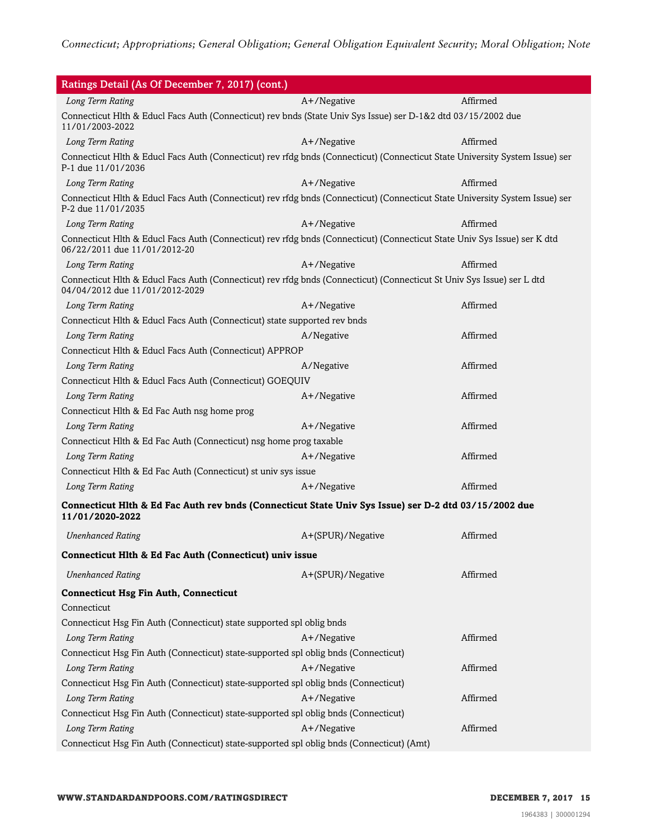| Ratings Detail (As Of December 7, 2017) (cont.)                                                                                                           |                   |          |
|-----------------------------------------------------------------------------------------------------------------------------------------------------------|-------------------|----------|
| Long Term Rating                                                                                                                                          | A+/Negative       | Affirmed |
| Connecticut Hlth & Educl Facs Auth (Connecticut) rev bnds (State Univ Sys Issue) ser D-1&2 dtd 03/15/2002 due<br>11/01/2003-2022                          |                   |          |
| Long Term Rating                                                                                                                                          | A+/Negative       | Affirmed |
| Connecticut Hlth & Educl Facs Auth (Connecticut) rev rfdg bnds (Connecticut) (Connecticut State University System Issue) ser<br>P-1 due 11/01/2036        |                   |          |
| Long Term Rating                                                                                                                                          | A+/Negative       | Affirmed |
| Connecticut Hlth & Educl Facs Auth (Connecticut) rev rfdg bnds (Connecticut) (Connecticut State University System Issue) ser<br>P-2 due 11/01/2035        |                   |          |
| Long Term Rating                                                                                                                                          | A+/Negative       | Affirmed |
| Connecticut Hlth & Educl Facs Auth (Connecticut) rev rfdg bnds (Connecticut) (Connecticut State Univ Sys Issue) ser K dtd<br>06/22/2011 due 11/01/2012-20 |                   |          |
| Long Term Rating                                                                                                                                          | A+/Negative       | Affirmed |
| Connecticut Hlth & Educl Facs Auth (Connecticut) rev rfdg bnds (Connecticut) (Connecticut St Univ Sys Issue) ser L dtd<br>04/04/2012 due 11/01/2012-2029  |                   |          |
| Long Term Rating                                                                                                                                          | A+/Negative       | Affirmed |
| Connecticut Hlth & Educl Facs Auth (Connecticut) state supported rev bnds                                                                                 |                   |          |
| Long Term Rating                                                                                                                                          | A/Negative        | Affirmed |
| Connecticut Hlth & Educl Facs Auth (Connecticut) APPROP                                                                                                   |                   |          |
| Long Term Rating                                                                                                                                          | A/Negative        | Affirmed |
| Connecticut Hlth & Educl Facs Auth (Connecticut) GOEQUIV                                                                                                  |                   |          |
| Long Term Rating                                                                                                                                          | A+/Negative       | Affirmed |
| Connecticut Hlth & Ed Fac Auth nsg home prog                                                                                                              |                   |          |
| Long Term Rating                                                                                                                                          | A+/Negative       | Affirmed |
| Connecticut Hlth & Ed Fac Auth (Connecticut) nsg home prog taxable                                                                                        |                   |          |
| Long Term Rating                                                                                                                                          | A+/Negative       | Affirmed |
| Connecticut Hlth & Ed Fac Auth (Connecticut) st univ sys issue                                                                                            |                   |          |
| Long Term Rating                                                                                                                                          | A+/Negative       | Affirmed |
| Connecticut Hlth & Ed Fac Auth rev bnds (Connecticut State Univ Sys Issue) ser D-2 dtd 03/15/2002 due<br>11/01/2020-2022                                  |                   |          |
| <b>Unenhanced Rating</b>                                                                                                                                  | A+(SPUR)/Negative | Affirmed |
| Connecticut Hlth & Ed Fac Auth (Connecticut) univ issue                                                                                                   |                   |          |
| <b>Unenhanced Rating</b>                                                                                                                                  | A+(SPUR)/Negative | Affirmed |
| <b>Connecticut Hsg Fin Auth, Connecticut</b>                                                                                                              |                   |          |
| Connecticut                                                                                                                                               |                   |          |
| Connecticut Hsg Fin Auth (Connecticut) state supported spl oblig bnds                                                                                     |                   |          |
| Long Term Rating                                                                                                                                          | A+/Negative       | Affirmed |
| Connecticut Hsg Fin Auth (Connecticut) state-supported spl oblig bnds (Connecticut)                                                                       |                   |          |
| Long Term Rating                                                                                                                                          | A+/Negative       | Affirmed |
| Connecticut Hsg Fin Auth (Connecticut) state-supported spl oblig bnds (Connecticut)                                                                       |                   |          |
| Long Term Rating                                                                                                                                          | A+/Negative       | Affirmed |
| Connecticut Hsg Fin Auth (Connecticut) state-supported spl oblig bnds (Connecticut)                                                                       |                   |          |
| Long Term Rating                                                                                                                                          | A+/Negative       | Affirmed |
| Connecticut Hsg Fin Auth (Connecticut) state-supported spl oblig bnds (Connecticut) (Amt)                                                                 |                   |          |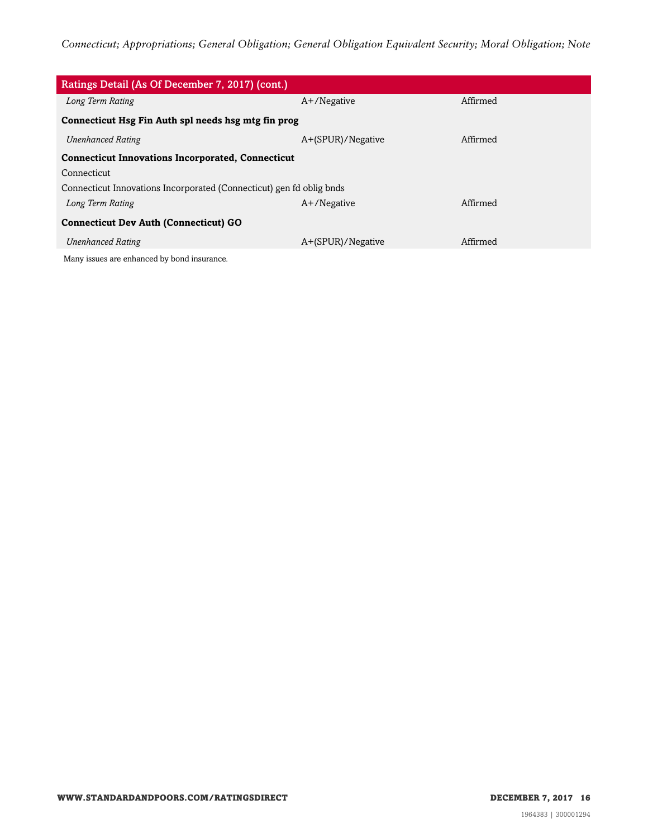| Ratings Detail (As Of December 7, 2017) (cont.)                      |                   |          |  |
|----------------------------------------------------------------------|-------------------|----------|--|
| Long Term Rating                                                     | $A+$ /Negative    | Affirmed |  |
| Connecticut Hsg Fin Auth spl needs hsg mtg fin prog                  |                   |          |  |
| <b>Unenhanced Rating</b>                                             | A+(SPUR)/Negative | Affirmed |  |
| <b>Connecticut Innovations Incorporated, Connecticut</b>             |                   |          |  |
| Connecticut                                                          |                   |          |  |
| Connecticut Innovations Incorporated (Connecticut) gen fd oblig bnds |                   |          |  |
| Long Term Rating                                                     | $A+$ /Negative    | Affirmed |  |
| <b>Connecticut Dev Auth (Connecticut) GO</b>                         |                   |          |  |
| <b>Unenhanced Rating</b>                                             | A+(SPUR)/Negative | Affirmed |  |
| Many issues are enhanced by bond insurance.                          |                   |          |  |